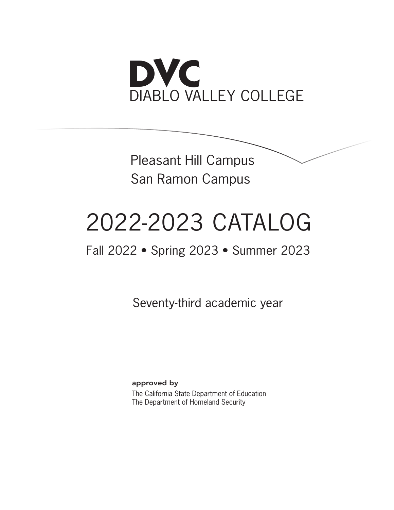

Pleasant Hill Campus San Ramon Campus

# 2022-2023 CATALOG

# Fall 2022 • Spring 2023 • Summer 2023

Seventy-third academic year

approved by The California State Department of Education The Department of Homeland Security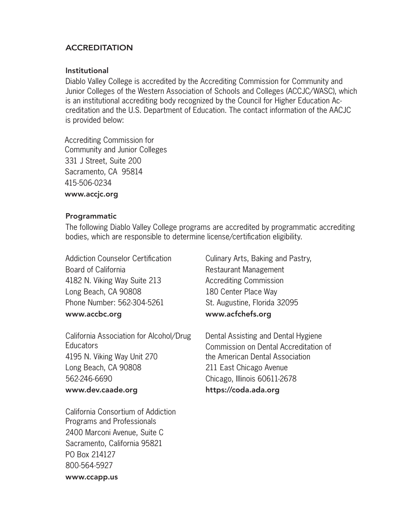#### **ACCREDITATION**

#### Institutional

Diablo Valley College is accredited by the Accrediting Commission for Community and Junior Colleges of the Western Association of Schools and Colleges (ACCJC/WASC), which is an institutional accrediting body recognized by the Council for Higher Education Accreditation and the U.S. Department of Education. The contact information of the AACJC is provided below:

Accrediting Commission for Community and Junior Colleges 331 J Street, Suite 200 Sacramento, CA 95814 415-506-0234 www.accjc.org

#### Programmatic

The following Diablo Valley College programs are accredited by programmatic accrediting bodies, which are responsible to determine license/certification eligibility.

Addiction Counselor Certification Board of California 4182 N. Viking Way Suite 213 Long Beach, CA 90808 Phone Number: 562-304-5261 www.accbc.org

California Association for Alcohol/Drug **Educators** 4195 N. Viking Way Unit 270 Long Beach, CA 90808 562-246-6690 www.dev.caade.org

California Consortium of Addiction Programs and Professionals 2400 Marconi Avenue, Suite C Sacramento, California 95821 PO Box 214127 800-564-5927 www.ccapp.us

Culinary Arts, Baking and Pastry, Restaurant Management Accrediting Commission 180 Center Place Way St. Augustine, Florida 32095 www.acfchefs.org

Dental Assisting and Dental Hygiene Commission on Dental Accreditation of the American Dental Association 211 East Chicago Avenue Chicago, Illinois 60611-2678 https://coda.ada.org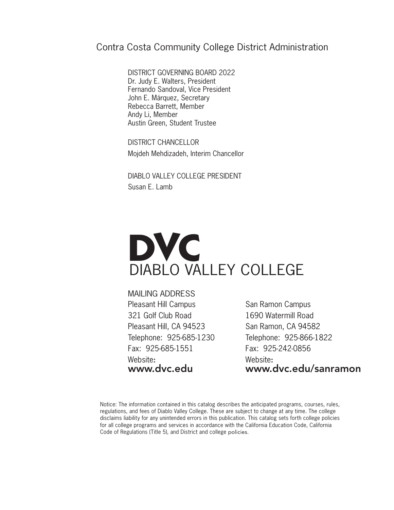## Contra Costa Community College District Administration

DISTRICT GOVERNING BOARD 2022 Dr. Judy E. Walters, President Fernando Sandoval, Vice President John E. Márquez, Secretary Rebecca Barrett, Member Andy Li, Member Austin Green, Student Trustee

DISTRICT CHANCELLOR Mojdeh Mehdizadeh, Interim Chancellor

DIABLO VALLEY COLLEGE PRESIDENT Susan E. Lamb

# **DVC** DIABLO VALLEY COLLEGE

MAILING ADDRESS Pleasant Hill Campus 321 Golf Club Road Pleasant Hill, CA 94523 Telephone: 925-685-1230 Fax: 925-685-1551 Website: www.dvc.edu

San Ramon Campus 1690 Watermill Road San Ramon, CA 94582 Telephone: 925-866-1822 Fax: 925-242-0856 Website: www.dvc.edu/sanramon

Notice: The information contained in this catalog describes the anticipated programs, courses, rules, regulations, and fees of Diablo Valley College. These are subject to change at any time. The college disclaims liability for any unintended errors in this publication. This catalog sets forth college policies for all college programs and services in accordance with the California Education Code, California Code of Regulations (Title 5), and District and college policies.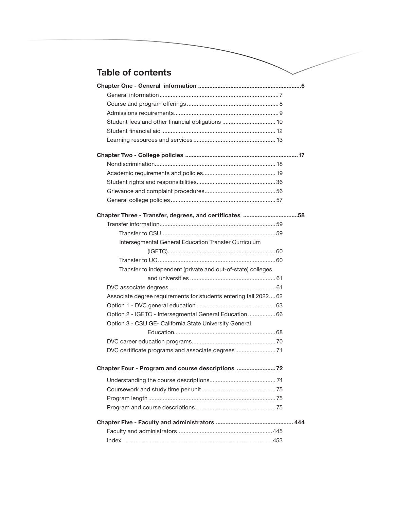## **Table of contents**

| Chapter Three - Transfer, degrees, and certificates 58           |  |
|------------------------------------------------------------------|--|
|                                                                  |  |
|                                                                  |  |
| Intersegmental General Education Transfer Curriculum             |  |
|                                                                  |  |
|                                                                  |  |
| Transfer to independent (private and out-of-state) colleges      |  |
|                                                                  |  |
|                                                                  |  |
| Associate degree requirements for students entering fall 2022 62 |  |
|                                                                  |  |
| Option 2 - IGETC - Intersegmental General Education  66          |  |
| Option 3 - CSU GE- California State University General           |  |
|                                                                  |  |
|                                                                  |  |
|                                                                  |  |
| Chapter Four - Program and course descriptions                   |  |
|                                                                  |  |
|                                                                  |  |
|                                                                  |  |
|                                                                  |  |
|                                                                  |  |
|                                                                  |  |
|                                                                  |  |
|                                                                  |  |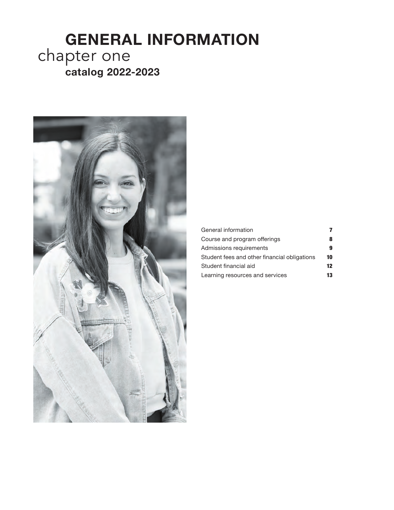# **GENERAL INFORMATION catalog 2022-2023** chapter one



| General information                          |    |
|----------------------------------------------|----|
| Course and program offerings                 |    |
| Admissions requirements                      |    |
| Student fees and other financial obligations | 10 |
| Student financial aid                        | 12 |
| Learning resources and services              | 13 |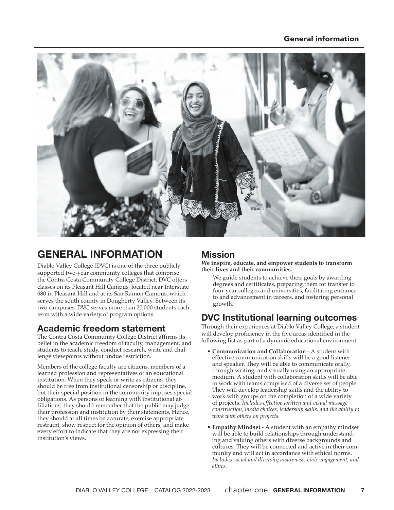#### General information



# **GENERAL INFORMATION**

Diablo Valley College (DVC) is one of the three publicly supported two-year community colleges that comprise the Contra Costa Community College District. DVC offers classes on its Pleasant Hill Campus, located near Interstate 680 in Pleasant Hill and at its San Ramon Campus, which serves the south county in Dougherty Valley. Between its two campuses, DVC serves more than 20,000 students each term with a wide variety of program options.

## **Academic freedom statement**

The Contra Costa Community College District affirms its belief in the academic freedom of faculty, management, and students to teach, study, conduct research, write and challenge viewpoints without undue restriction.

Members of the college faculty are citizens, members of a learned profession and representatives of an educational institution. When they speak or write as citizens, they should be free from institutional censorship or discipline, but their special position in the community imposes special obligations. As persons of learning with institutional affiliations, they should remember that the public may judge their profession and institution by their statements. Hence, they should at all times be accurate, exercise appropriate restraint, show respect for the opinion of others, and make every effort to indicate that they are not expressing their institution's views.

### **Mission**

**We inspire, educate, and empower students to transform their lives and their communities.** 

We guide students to achieve their goals by awarding degrees and certificates, preparing them for transfer to four-year colleges and universities, facilitating entrance to and advancement in careers, and fostering personal growth.

## **DVC Institutional learning outcomes**

Through their experiences at Diablo Valley College, a student will develop proficiency in the five areas identified in the following list as part of a dynamic educational environment.

- **Communication and Collaboration** A student with effective communication skills will be a good listener and speaker. They will be able to communicate orally, through writing, and visually using an appropriate medium. A student with collaboration skills will be able to work with teams comprised of a diverse set of people. They will develop leadership skills and the ability to work with groups on the completion of a wide variety of projects. *Includes effective written and visual message construction, media choices, leadership skills, and the ability to work with others on projects.*
- **Empathy Mindset** A student with an empathy mindset will be able to build relationships through understanding and valuing others with diverse backgrounds and cultures. They will be connected and active in their community and will act in accordance with ethical norms. *Includes social and diversity awareness, civic engagement, and ethics.*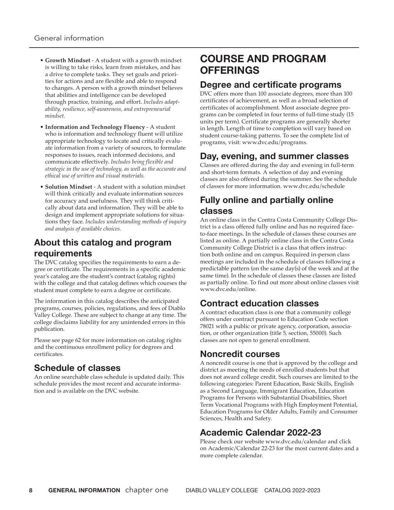- **Growth Mindset** A student with a growth mindset is willing to take risks, learn from mistakes, and has a drive to complete tasks. They set goals and priorities for actions and are flexible and able to respond to changes. A person with a growth mindset believes that abilities and intelligence can be developed through practice, training, and effort. *Includes adaptability, resilience, self-awareness, and entrepreneurial mindset.*
- **Information and Technology Fluency** A student who is information and technology fluent will utilize appropriate technology to locate and critically evaluate information from a variety of sources, to formulate responses to issues, reach informed decisions, and communicate effectively. *Includes being flexible and strategic in the use of technology, as well as the accurate and ethical use of written and visual materials.*
- **Solution Mindset**  A student with a solution mindset will think critically and evaluate information sources for accuracy and usefulness. They will think critically about data and information. They will be able to design and implement appropriate solutions for situations they face. *Includes understanding methods of inquiry and analysis of available choices.*

## **About this catalog and program requirements**

The DVC catalog specifies the requirements to earn a degree or certificate. The requirements in a specific academic year's catalog are the student's contract (catalog rights) with the college and that catalog defines which courses the student must complete to earn a degree or certificate.

The information in this catalog describes the anticipated programs, courses, policies, regulations, and fees of Diablo Valley College. These are subject to change at any time. The college disclaims liability for any unintended errors in this publication.

Please see page 62 for more information on catalog rights and the continuous enrollment policy for degrees and certificates.

## **Schedule of classes**

An online searchable class schedule is updated daily. This schedule provides the most recent and accurate information and is available on the DVC website.

## **COURSE AND PROGRAM OFFERINGS**

#### **Degree and certificate programs**

DVC offers more than 100 associate degrees, more than 100 certificates of achievement, as well as a broad selection of certificates of accomplishment. Most associate degree programs can be completed in four terms of full-time study (15 units per term). Certificate programs are generally shorter in length. Length of time to completion will vary based on student course-taking patterns. To see the complete list of programs, visit: www.dvc.edu/programs.

## **Day, evening, and summer classes**

Classes are offered during the day and evening in full-term and short-term formats. A selection of day and evening classes are also offered during the summer. See the schedule of classes for more information. www.dvc.edu/schedule

## **Fully online and partially online classes**

An online class in the Contra Costa Community College District is a class offered fully online and has no required faceto-face meetings. In the schedule of classes these courses are listed as online. A partially online class in the Contra Costa Community College District is a class that offers instruction both online and on campus. Required in-person class meetings are included in the schedule of classes following a predictable pattern (on the same day(s) of the week and at the same time). In the schedule of classes these classes are listed as partially online. To find out more about online classes visit www.dvc.edu/online.

## **Contract education classes**

A contract education class is one that a community college offers under contract pursuant to Education Code section 78021 with a public or private agency, corporation, association, or other organization (title 5, section, 55000). Such classes are not open to general enrollment.

## **Noncredit courses**

A noncredit course is one that is approved by the college and district as meeting the needs of enrolled students but that does not award college credit. Such courses are limited to the following categories: Parent Education, Basic Skills, English as a Second Language, Immigrant Education, Education Programs for Persons with Substantial Disabilities, Short Term Vocational Programs with High Employment Potential, Education Programs for Older Adults, Family and Consumer Sciences, Health and Safety.

## **Academic Calendar 2022-23**

Please check our website www.dvc.edu/calendar and click on Academic/Calendar 22-23 for the most current dates and a more complete calendar.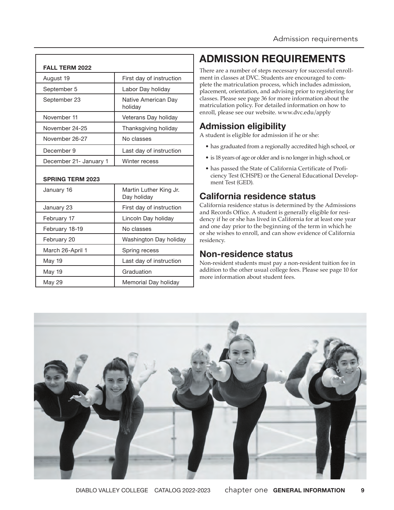| <b>FALL TERM 2022</b>   |                                       |
|-------------------------|---------------------------------------|
| August 19               | First day of instruction              |
| September 5             | Labor Day holiday                     |
| September 23            | Native American Day<br>holiday        |
| November 11             | Veterans Day holiday                  |
| November 24-25          | Thanksgiving holiday                  |
| November 26-27          | No classes                            |
| December 9              | Last day of instruction               |
| December 21- January 1  | Winter recess                         |
| <b>SPRING TERM 2023</b> |                                       |
| January 16              | Martin Luther King Jr.<br>Day holiday |
| January 23              | First day of instruction              |
| February 17             | Lincoln Day holiday                   |
| February 18-19          | No classes                            |
| February 20             | Washington Day holiday                |
| March 26-April 1        | Spring recess                         |
| May 19                  | Last day of instruction               |
| May 19                  | Graduation                            |
| May 29                  | Memorial Day holiday                  |

# **ADMISSION REQUIREMENTS**

There are a number of steps necessary for successful enrollment in classes at DVC. Students are encouraged to complete the matriculation process, which includes admission, placement, orientation, and advising prior to registering for classes. Please see page 36 for more information about the matriculation policy. For detailed information on how to enroll, please see our website. www.dvc.edu/apply

## **Admission eligibility**

A student is eligible for admission if he or she:

- has graduated from a regionally accredited high school, or
- is 18 years of age or older and is no longer in high school, or
- has passed the State of California Certificate of Proficiency Test (CHSPE) or the General Educational Development Test (GED).

## **California residence status**

California residence status is determined by the Admissions and Records Office. A student is generally eligible for residency if he or she has lived in California for at least one year and one day prior to the beginning of the term in which he or she wishes to enroll, and can show evidence of California residency.

## **Non-residence status**

Non-resident students must pay a non-resident tuition fee in addition to the other usual college fees. Please see page 10 for more information about student fees.

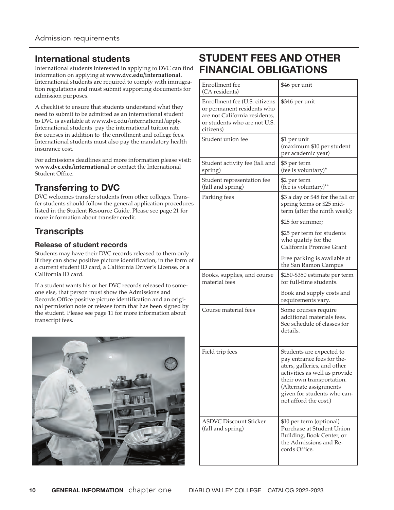#### **International students**

International students interested in applying to DVC can find information on applying at **www.dvc.edu/international.** International students are required to comply with immigration regulations and must submit supporting documents for admission purposes.

A checklist to ensure that students understand what they need to submit to be admitted as an international student to DVC is available at www.dvc.edu/international/apply. International students pay the international tuition rate for courses in addition to the enrollment and college fees. International students must also pay the mandatory health insurance cost.

For admissions deadlines and more information please visit: **www.dvc.edu/international** or contact the International Student Office.

## **Transferring to DVC**

DVC welcomes transfer students from other colleges. Transfer students should follow the general application procedures listed in the Student Resource Guide. Please see page 21 for more information about transfer credit.

## **Transcripts**

#### **Release of student records**

Students may have their DVC records released to them only if they can show positive picture identification, in the form of a current student ID card, a California Driver's License, or a California ID card.

If a student wants his or her DVC records released to someone else, that person must show the Admissions and Records Office positive picture identification and an original permission note or release form that has been signed by the student. Please see page 11 for more information about transcript fees.



# **STUDENT FEES AND OTHER FINANCIAL OBLIGATIONS**

| Enrollment fee<br>(CA residents)                                                                                                          | \$46 per unit                                                                                                                                                                                                                         |
|-------------------------------------------------------------------------------------------------------------------------------------------|---------------------------------------------------------------------------------------------------------------------------------------------------------------------------------------------------------------------------------------|
| Enrollment fee (U.S. citizens<br>or permanent residents who<br>are not California residents,<br>or students who are not U.S.<br>citizens) | \$346 per unit                                                                                                                                                                                                                        |
| Student union fee                                                                                                                         | \$1 per unit<br>(maximum \$10 per student<br>per academic year)                                                                                                                                                                       |
| Student activity fee (fall and<br>spring)                                                                                                 | \$5 per term<br>(fee is voluntary)*                                                                                                                                                                                                   |
| Student representation fee<br>(fall and spring)                                                                                           | \$2 per term<br>(fee is voluntary)**                                                                                                                                                                                                  |
| Parking fees                                                                                                                              | \$3 a day or \$48 for the fall or<br>spring terms or \$25 mid-<br>term (after the ninth week);                                                                                                                                        |
|                                                                                                                                           | \$25 for summer;                                                                                                                                                                                                                      |
|                                                                                                                                           | \$25 per term for students<br>who qualify for the<br>California Promise Grant                                                                                                                                                         |
|                                                                                                                                           | Free parking is available at<br>the San Ramon Campus                                                                                                                                                                                  |
| Books, supplies, and course<br>material fees                                                                                              | \$250-\$350 estimate per term<br>for full-time students.                                                                                                                                                                              |
|                                                                                                                                           | Book and supply costs and<br>requirements vary.                                                                                                                                                                                       |
| Course material fees                                                                                                                      | Some courses require<br>additional materials fees.<br>See schedule of classes for<br>details.                                                                                                                                         |
| Field trip fees                                                                                                                           | Students are expected to<br>pay entrance fees for the-<br>aters, galleries, and other<br>activities as well as provide<br>their own transportation.<br>(Alternate assignments<br>given for students who can-<br>not afford the cost.) |
| <b>ASDVC Discount Sticker</b><br>(fall and spring)                                                                                        | \$10 per term (optional)<br>Purchase at Student Union<br>Building, Book Center, or<br>the Admissions and Re-<br>cords Office.                                                                                                         |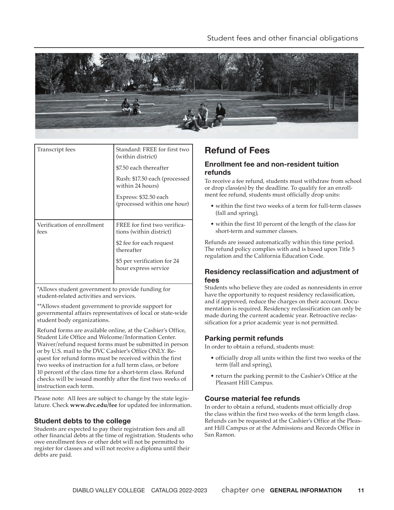

| Transcript fees                    | Standard: FREE for first two<br>(within district)       |
|------------------------------------|---------------------------------------------------------|
|                                    | \$7.50 each thereafter                                  |
|                                    | Rush: \$17.50 each (processed<br>within 24 hours)       |
|                                    | Express: \$32.50 each<br>(processed within one hour)    |
|                                    |                                                         |
| Verification of enrollment<br>fees | FREE for first two verifica-<br>tions (within district) |
|                                    | \$2 fee for each request<br>thereafter                  |
|                                    | \$5 per verification for 24<br>hour express service     |
|                                    |                                                         |

\*Allows student government to provide funding for student-related activities and services.

\*\*Allows student government to provide support for governmental affairs representatives of local or state-wide student body organizations.

Refund forms are available online, at the Cashier's Office, Student Life Office and Welcome/Information Center. Waiver/refund request forms must be submitted in person or by U.S. mail to the DVC Cashier's Office ONLY. Request for refund forms must be received within the first two weeks of instruction for a full term class, or before 10 percent of the class time for a short-term class. Refund checks will be issued monthly after the first two weeks of instruction each term.

Please note: All fees are subject to change by the state legislature. Check **www.dvc.edu/fee** for updated fee information.

#### **Student debts to the college**

Students are expected to pay their registration fees and all other financial debts at the time of registration. Students who owe enrollment fees or other debt will not be permitted to register for classes and will not receive a diploma until their debts are paid.

## **Refund of Fees**

#### **Enrollment fee and non-resident tuition refunds**

To receive a fee refund, students must withdraw from school or drop class(es) by the deadline. To qualify for an enrollment fee refund, students must officially drop units:

- within the first two weeks of a term for full-term classes (fall and spring),
- within the first 10 percent of the length of the class for short-term and summer classes.

Refunds are issued automatically within this time period. The refund policy complies with and is based upon Title 5 regulation and the California Education Code.

#### **Residency reclassification and adjustment of fees**

Students who believe they are coded as nonresidents in error have the opportunity to request residency reclassification, and if approved, reduce the charges on their account. Documentation is required. Residency reclassification can only be made during the current academic year. Retroactive reclassification for a prior academic year is not permitted.

#### **Parking permit refunds**

In order to obtain a refund, students must:

- officially drop all units within the first two weeks of the term (fall and spring),
- return the parking permit to the Cashier's Office at the Pleasant Hill Campus.

#### **Course material fee refunds**

In order to obtain a refund, students must officially drop the class within the first two weeks of the term length class. Refunds can be requested at the Cashier's Office at the Pleasant Hill Campus or at the Admissions and Records Office in San Ramon.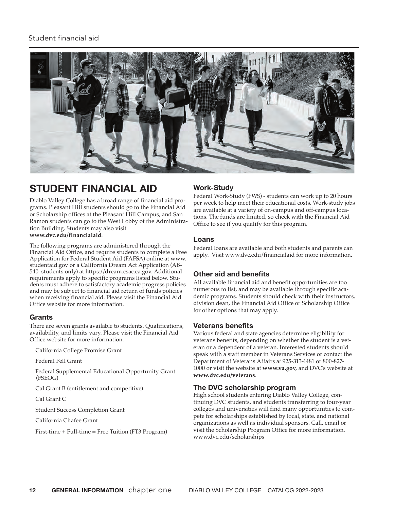#### Student financial aid



# **STUDENT FINANCIAL AID**

Diablo Valley College has a broad range of financial aid programs. Pleasant Hill students should go to the Financial Aid or Scholarship offices at the Pleasant Hill Campus, and San Ramon students can go to the West Lobby of the Administration Building. Students may also visit **www.dvc.edu/financialaid**.

The following programs are administered through the Financial Aid Office, and require students to complete a Free Application for Federal Student Aid (FAFSA) online at www. studentaid.gov or a California Dream Act Application (AB-540 students only) at https://dream.csac.ca.gov. Additional requirements apply to specific programs listed below. Students must adhere to satisfactory academic progress policies and may be subject to financial aid return of funds policies when receiving financial aid. Please visit the Financial Aid Office website for more information.

#### **Grants**

There are seven grants available to students. Qualifications, availability, and limits vary. Please visit the Financial Aid Office website for more information.

California College Promise Grant

Federal Pell Grant

Federal Supplemental Educational Opportunity Grant (FSEOG)

Cal Grant B (entitlement and competitive)

Cal Grant C

Student Success Completion Grant

California Chafee Grant

First-time + Full-time = Free Tuition (FT3 Program)

#### **Work-Study**

Federal Work-Study (FWS) - students can work up to 20 hours per week to help meet their educational costs. Work-study jobs are available at a variety of on-campus and off-campus locations. The funds are limited, so check with the Financial Aid Office to see if you qualify for this program.

#### **Loans**

Federal loans are available and both students and parents can apply. Visit www.dvc.edu/financialaid for more information.

#### **Other aid and benefits**

All available financial aid and benefit opportunities are too numerous to list, and may be available through specific academic programs. Students should check with their instructors, division dean, the Financial Aid Office or Scholarship Office for other options that may apply.

#### **Veterans benefits**

Various federal and state agencies determine eligibility for veterans benefits, depending on whether the student is a veteran or a dependent of a veteran. Interested students should speak with a staff member in Veterans Services or contact the Department of Veterans Affairs at 925-313-1481 or 800-827- 1000 or visit the website at **www.va.gov**, and DVC's website at **www.dvc.edu/veterans**.

#### **The DVC scholarship program**

High school students entering Diablo Valley College, continuing DVC students, and students transferring to four-year colleges and universities will find many opportunities to compete for scholarships established by local, state, and national organizations as well as individual sponsors. Call, email or visit the Scholarship Program Office for more information. www.dvc.edu/scholarships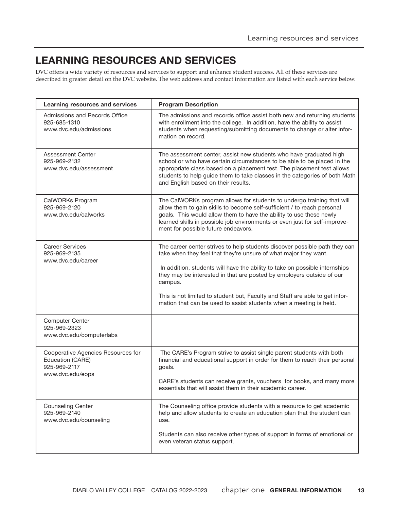# **LEARNING RESOURCES AND SERVICES**

DVC offers a wide variety of resources and services to support and enhance student success. All of these services are described in greater detail on the DVC website. The web address and contact information are listed with each service below.

| Learning resources and services                                                            | <b>Program Description</b>                                                                                                                                                                                                                                                                                                                                                                                                                                              |
|--------------------------------------------------------------------------------------------|-------------------------------------------------------------------------------------------------------------------------------------------------------------------------------------------------------------------------------------------------------------------------------------------------------------------------------------------------------------------------------------------------------------------------------------------------------------------------|
| Admissions and Records Office<br>925-685-1310<br>www.dvc.edu/admissions                    | The admissions and records office assist both new and returning students<br>with enrollment into the college. In addition, have the ability to assist<br>students when requesting/submitting documents to change or alter infor-<br>mation on record.                                                                                                                                                                                                                   |
| Assessment Center<br>925-969-2132<br>www.dvc.edu/assessment                                | The assessment center, assist new students who have graduated high<br>school or who have certain circumstances to be able to be placed in the<br>appropriate class based on a placement test. The placement test allows<br>students to help guide them to take classes in the categories of both Math<br>and English based on their results.                                                                                                                            |
| CalWORKs Program<br>925-969-2120<br>www.dvc.edu/calworks                                   | The CalWORKs program allows for students to undergo training that will<br>allow them to gain skills to become self-sufficient / to reach personal<br>goals. This would allow them to have the ability to use these newly<br>learned skills in possible job environments or even just for self-improve-<br>ment for possible future endeavors.                                                                                                                           |
| <b>Career Services</b><br>925-969-2135<br>www.dvc.edu/career                               | The career center strives to help students discover possible path they can<br>take when they feel that they're unsure of what major they want.<br>In addition, students will have the ability to take on possible internships<br>they may be interested in that are posted by employers outside of our<br>campus.<br>This is not limited to student but, Faculty and Staff are able to get infor-<br>mation that can be used to assist students when a meeting is held. |
| <b>Computer Center</b><br>925-969-2323<br>www.dvc.edu/computerlabs                         |                                                                                                                                                                                                                                                                                                                                                                                                                                                                         |
| Cooperative Agencies Resources for<br>Education (CARE)<br>925-969-2117<br>www.dvc.edu/eops | The CARE's Program strive to assist single parent students with both<br>financial and educational support in order for them to reach their personal<br>goals.<br>CARE's students can receive grants, vouchers for books, and many more<br>essentials that will assist them in their academic career.                                                                                                                                                                    |
| <b>Counseling Center</b><br>925-969-2140<br>www.dvc.edu/counseling                         | The Counseling office provide students with a resource to get academic<br>help and allow students to create an education plan that the student can<br>use.<br>Students can also receive other types of support in forms of emotional or<br>even veteran status support.                                                                                                                                                                                                 |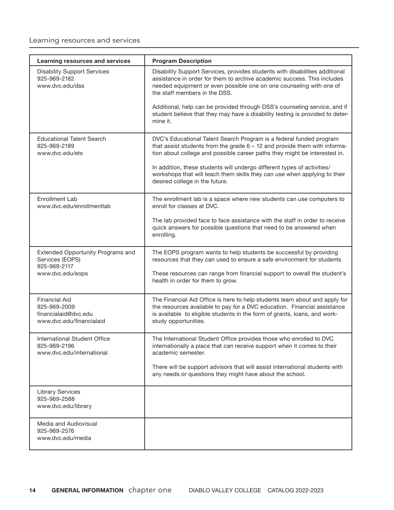#### Learning resources and services

| Learning resources and services                                                          | <b>Program Description</b>                                                                                                                                                                                                                                     |
|------------------------------------------------------------------------------------------|----------------------------------------------------------------------------------------------------------------------------------------------------------------------------------------------------------------------------------------------------------------|
| <b>Disability Support Services</b><br>925-969-2182<br>www.dvc.edu/dss                    | Disability Support Services, provides students with disabilities additional<br>assistance in order for them to archive academic success. This includes<br>needed equipment or even possible one on one counseling with one of<br>the staff members in the DSS. |
|                                                                                          | Additional, help can be provided through DSS's counseling service, and if<br>student believe that they may have a disability testing is provided to deter-<br>mine it.                                                                                         |
| <b>Educational Talent Search</b><br>925-969-2189<br>www.dvc.edu/ets                      | DVC's Educational Talent Search Program is a federal funded program<br>that assist students from the grade $6 - 12$ and provide them with informa-<br>tion about college and possible career paths they might be interested in.                                |
|                                                                                          | In addition, these students will undergo different types of activities/<br>workshops that will teach them skills they can use when applying to their<br>desired college in the future.                                                                         |
| <b>Enrollment Lab</b><br>www.dvc.edu/enrollmentlab                                       | The enrollment lab is a space where new students can use computers to<br>enroll for classes at DVC.                                                                                                                                                            |
|                                                                                          | The lab provided face to face assistance with the staff in order to receive<br>quick answers for possible questions that need to be answered when<br>enrolling.                                                                                                |
| Extended Opportunity Programs and<br>Services (EOPS)<br>925-969-2117                     | The EOPS program wants to help students be successful by providing<br>resources that they can used to ensure a safe environment for students                                                                                                                   |
| www.dvc.edu/eops                                                                         | These resources can range from financial support to overall the student's<br>health in order for them to grow.                                                                                                                                                 |
| <b>Financial Aid</b><br>925-969-2009<br>financialaid@dvc.edu<br>www.dvc.edu/financialaid | The Financial Aid Office is here to help students learn about and apply for<br>the resources available to pay for a DVC education. Financial assistance<br>is available to eligible students in the form of grants, loans, and work-<br>study opportunities.   |
| International Student Office<br>925-969-2196<br>www.dvc.edu/international                | The International Student Office provides those who enrolled to DVC<br>internationally a place that can receive support when it comes to their<br>academic semester.                                                                                           |
|                                                                                          | There will be support advisors that will assist international students with<br>any needs or questions they might have about the school.                                                                                                                        |
| <b>Library Services</b><br>925-969-2588<br>www.dvc.edu/library                           |                                                                                                                                                                                                                                                                |
| Media and Audiovisual<br>925-969-2576<br>www.dvc.edu/media                               |                                                                                                                                                                                                                                                                |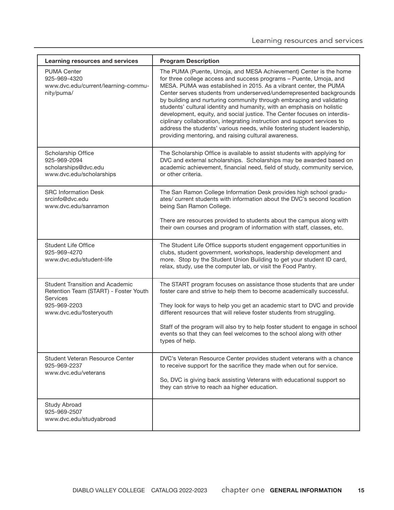| Learning resources and services                                                                                                        | <b>Program Description</b>                                                                                                                                                                                                                                                                                                                                                                                                                                                                                                                                                                                                                                                                                                         |
|----------------------------------------------------------------------------------------------------------------------------------------|------------------------------------------------------------------------------------------------------------------------------------------------------------------------------------------------------------------------------------------------------------------------------------------------------------------------------------------------------------------------------------------------------------------------------------------------------------------------------------------------------------------------------------------------------------------------------------------------------------------------------------------------------------------------------------------------------------------------------------|
| <b>PUMA Center</b><br>925-969-4320<br>www.dvc.edu/current/learning-commu-<br>nity/puma/                                                | The PUMA (Puente, Umoja, and MESA Achievement) Center is the home<br>for three college access and success programs - Puente, Umoja, and<br>MESA. PUMA was established in 2015. As a vibrant center, the PUMA<br>Center serves students from underserved/underrepresented backgrounds<br>by building and nurturing community through embracing and validating<br>students' cultural identity and humanity, with an emphasis on holistic<br>development, equity, and social justice. The Center focuses on interdis-<br>ciplinary collaboration, integrating instruction and support services to<br>address the students' various needs, while fostering student leadership,<br>providing mentoring, and raising cultural awareness. |
| Scholarship Office<br>925-969-2094<br>scholarships@dvc.edu<br>www.dvc.edu/scholarships                                                 | The Scholarship Office is available to assist students with applying for<br>DVC and external scholarships. Scholarships may be awarded based on<br>academic achievement, financial need, field of study, community service,<br>or other criteria.                                                                                                                                                                                                                                                                                                                                                                                                                                                                                  |
| <b>SRC Information Desk</b><br>srcinfo@dvc.edu<br>www.dvc.edu/sanramon                                                                 | The San Ramon College Information Desk provides high school gradu-<br>ates/ current students with information about the DVC's second location<br>being San Ramon College.<br>There are resources provided to students about the campus along with<br>their own courses and program of information with staff, classes, etc.                                                                                                                                                                                                                                                                                                                                                                                                        |
| <b>Student Life Office</b><br>925-969-4270<br>www.dvc.edu/student-life                                                                 | The Student Life Office supports student engagement opportunities in<br>clubs, student government, workshops, leadership development and<br>more. Stop by the Student Union Building to get your student ID card,<br>relax, study, use the computer lab, or visit the Food Pantry.                                                                                                                                                                                                                                                                                                                                                                                                                                                 |
| <b>Student Transition and Academic</b><br>Retention Team (START) - Foster Youth<br>Services<br>925-969-2203<br>www.dvc.edu/fosteryouth | The START program focuses on assistance those students that are under<br>foster care and strive to help them to become academically successful.<br>They look for ways to help you get an academic start to DVC and provide<br>different resources that will relieve foster students from struggling.<br>Staff of the program will also try to help foster student to engage in school<br>events so that they can feel welcomes to the school along with other<br>types of help.                                                                                                                                                                                                                                                    |
| Student Veteran Resource Center<br>925-969-2237<br>www.dvc.edu/veterans                                                                | DVC's Veteran Resource Center provides student veterans with a chance<br>to receive support for the sacrifice they made when out for service.<br>So, DVC is giving back assisting Veterans with educational support so<br>they can strive to reach aa higher education.                                                                                                                                                                                                                                                                                                                                                                                                                                                            |
| Study Abroad<br>925-969-2507<br>www.dvc.edu/studyabroad                                                                                |                                                                                                                                                                                                                                                                                                                                                                                                                                                                                                                                                                                                                                                                                                                                    |